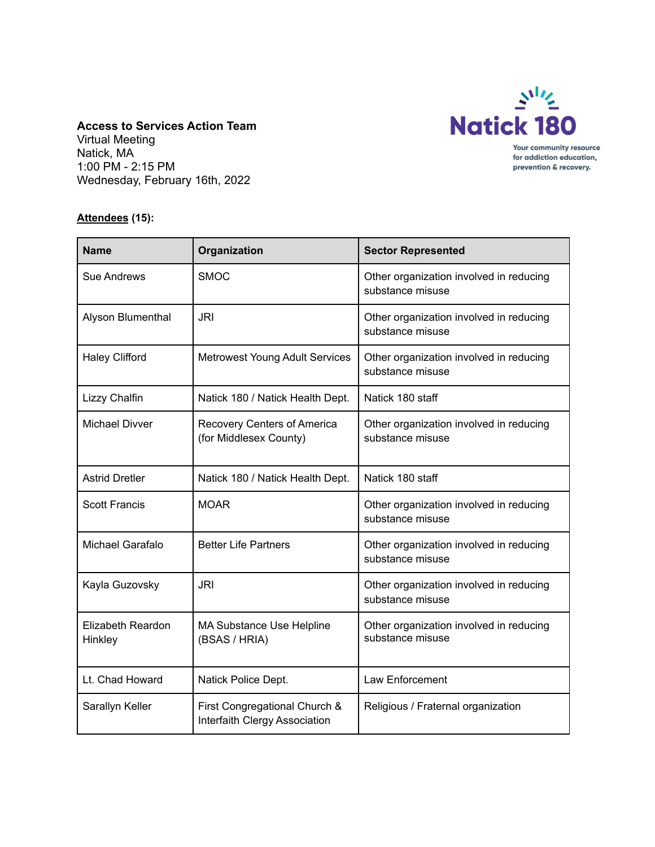

## **Access to Services Action Team** Virtual Meeting Natick, MA 1:00 PM - 2:15 PM

Wednesday, February 16th, 2022

## **Attendees (15):**

| <b>Name</b>                  | Organization                                                   | <b>Sector Represented</b>                                   |
|------------------------------|----------------------------------------------------------------|-------------------------------------------------------------|
| Sue Andrews                  | <b>SMOC</b>                                                    | Other organization involved in reducing<br>substance misuse |
| Alyson Blumenthal            | <b>JRI</b>                                                     | Other organization involved in reducing<br>substance misuse |
| <b>Haley Clifford</b>        | <b>Metrowest Young Adult Services</b>                          | Other organization involved in reducing<br>substance misuse |
| Lizzy Chalfin                | Natick 180 / Natick Health Dept.                               | Natick 180 staff                                            |
| <b>Michael Divver</b>        | Recovery Centers of America<br>(for Middlesex County)          | Other organization involved in reducing<br>substance misuse |
| <b>Astrid Dretler</b>        | Natick 180 / Natick Health Dept.                               | Natick 180 staff                                            |
| <b>Scott Francis</b>         | <b>MOAR</b>                                                    | Other organization involved in reducing<br>substance misuse |
| <b>Michael Garafalo</b>      | <b>Better Life Partners</b>                                    | Other organization involved in reducing<br>substance misuse |
| Kayla Guzovsky               | <b>JRI</b>                                                     | Other organization involved in reducing<br>substance misuse |
| Elizabeth Reardon<br>Hinkley | <b>MA Substance Use Helpline</b><br>(BSAS / HRIA)              | Other organization involved in reducing<br>substance misuse |
| Lt. Chad Howard              | Natick Police Dept.                                            | Law Enforcement                                             |
| Sarallyn Keller              | First Congregational Church &<br>Interfaith Clergy Association | Religious / Fraternal organization                          |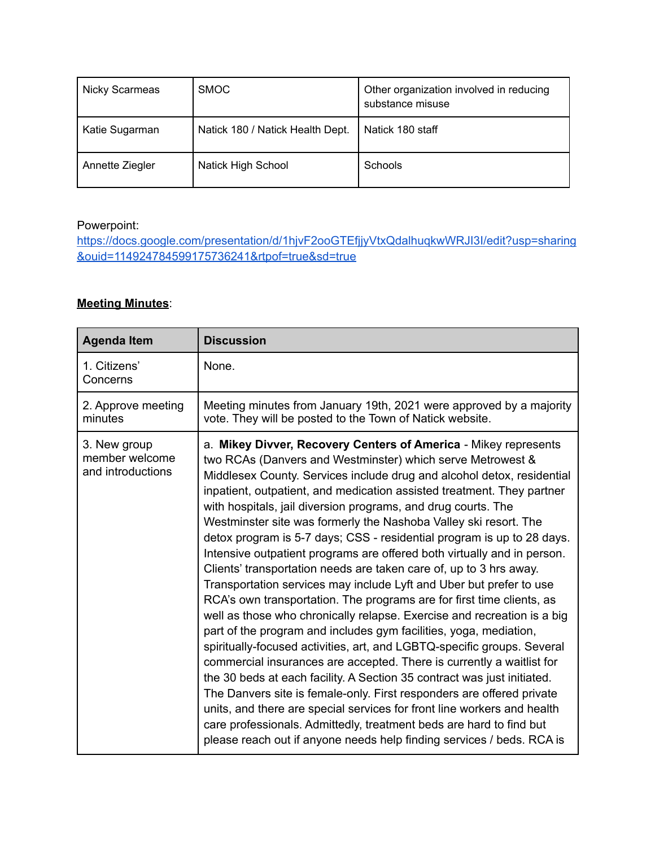| Nicky Scarmeas  | <b>SMOC</b>                      | Other organization involved in reducing<br>substance misuse |
|-----------------|----------------------------------|-------------------------------------------------------------|
| Katie Sugarman  | Natick 180 / Natick Health Dept. | Natick 180 staff                                            |
| Annette Ziegler | <b>Natick High School</b>        | Schools                                                     |

## Powerpoint:

[https://docs.google.com/presentation/d/1hjvF2ooGTEfjjyVtxQdalhuqkwWRJI3I/edit?usp=sharing](https://docs.google.com/presentation/d/1hjvF2ooGTEfjjyVtxQdalhuqkwWRJI3I/edit?usp=sharing&ouid=114924784599175736241&rtpof=true&sd=true) [&ouid=114924784599175736241&rtpof=true&sd=true](https://docs.google.com/presentation/d/1hjvF2ooGTEfjjyVtxQdalhuqkwWRJI3I/edit?usp=sharing&ouid=114924784599175736241&rtpof=true&sd=true)

## **Meeting Minutes**:

| <b>Agenda Item</b>                                  | <b>Discussion</b>                                                                                                                                                                                                                                                                                                                                                                                                                                                                                                                                                                                                                                                                                                                                                                                                                                                                                                                                                                                                                                                                                                                                                                                                                                                                                                                                                                                                                                                                    |
|-----------------------------------------------------|--------------------------------------------------------------------------------------------------------------------------------------------------------------------------------------------------------------------------------------------------------------------------------------------------------------------------------------------------------------------------------------------------------------------------------------------------------------------------------------------------------------------------------------------------------------------------------------------------------------------------------------------------------------------------------------------------------------------------------------------------------------------------------------------------------------------------------------------------------------------------------------------------------------------------------------------------------------------------------------------------------------------------------------------------------------------------------------------------------------------------------------------------------------------------------------------------------------------------------------------------------------------------------------------------------------------------------------------------------------------------------------------------------------------------------------------------------------------------------------|
| 1. Citizens'<br>Concerns                            | None.                                                                                                                                                                                                                                                                                                                                                                                                                                                                                                                                                                                                                                                                                                                                                                                                                                                                                                                                                                                                                                                                                                                                                                                                                                                                                                                                                                                                                                                                                |
| 2. Approve meeting<br>minutes                       | Meeting minutes from January 19th, 2021 were approved by a majority<br>vote. They will be posted to the Town of Natick website.                                                                                                                                                                                                                                                                                                                                                                                                                                                                                                                                                                                                                                                                                                                                                                                                                                                                                                                                                                                                                                                                                                                                                                                                                                                                                                                                                      |
| 3. New group<br>member welcome<br>and introductions | a. Mikey Divver, Recovery Centers of America - Mikey represents<br>two RCAs (Danvers and Westminster) which serve Metrowest &<br>Middlesex County. Services include drug and alcohol detox, residential<br>inpatient, outpatient, and medication assisted treatment. They partner<br>with hospitals, jail diversion programs, and drug courts. The<br>Westminster site was formerly the Nashoba Valley ski resort. The<br>detox program is 5-7 days; CSS - residential program is up to 28 days.<br>Intensive outpatient programs are offered both virtually and in person.<br>Clients' transportation needs are taken care of, up to 3 hrs away.<br>Transportation services may include Lyft and Uber but prefer to use<br>RCA's own transportation. The programs are for first time clients, as<br>well as those who chronically relapse. Exercise and recreation is a big<br>part of the program and includes gym facilities, yoga, mediation,<br>spiritually-focused activities, art, and LGBTQ-specific groups. Several<br>commercial insurances are accepted. There is currently a waitlist for<br>the 30 beds at each facility. A Section 35 contract was just initiated.<br>The Danvers site is female-only. First responders are offered private<br>units, and there are special services for front line workers and health<br>care professionals. Admittedly, treatment beds are hard to find but<br>please reach out if anyone needs help finding services / beds. RCA is |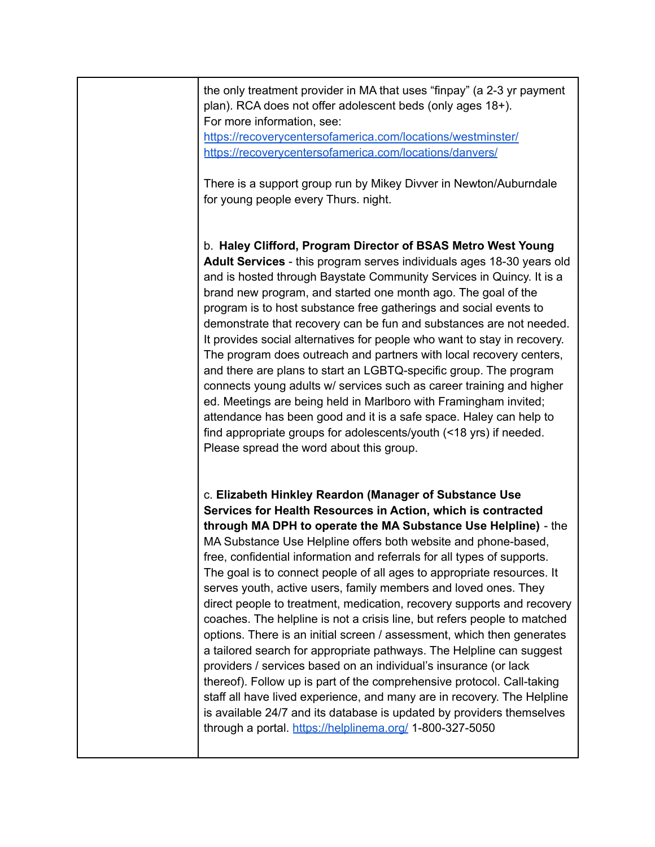the only treatment provider in MA that uses "finpay" (a 2-3 yr payment plan). RCA does not offer adolescent beds (only ages 18+). For more information, see:

<https://recoverycentersofamerica.com/locations/westminster/> <https://recoverycentersofamerica.com/locations/danvers/>

There is a support group run by Mikey Divver in Newton/Auburndale for young people every Thurs. night.

b. **Haley Clifford, Program Director of BSAS Metro West Young Adult Services** - this program serves individuals ages 18-30 years old and is hosted through Baystate Community Services in Quincy. It is a brand new program, and started one month ago. The goal of the program is to host substance free gatherings and social events to demonstrate that recovery can be fun and substances are not needed. It provides social alternatives for people who want to stay in recovery. The program does outreach and partners with local recovery centers, and there are plans to start an LGBTQ-specific group. The program connects young adults w/ services such as career training and higher ed. Meetings are being held in Marlboro with Framingham invited; attendance has been good and it is a safe space. Haley can help to find appropriate groups for adolescents/youth (<18 yrs) if needed. Please spread the word about this group.

c. **Elizabeth Hinkley Reardon (Manager of Substance Use Services for Health Resources in Action, which is contracted through MA DPH to operate the MA Substance Use Helpline)** - the MA Substance Use Helpline offers both website and phone-based, free, confidential information and referrals for all types of supports. The goal is to connect people of all ages to appropriate resources. It serves youth, active users, family members and loved ones. They direct people to treatment, medication, recovery supports and recovery coaches. The helpline is not a crisis line, but refers people to matched options. There is an initial screen / assessment, which then generates a tailored search for appropriate pathways. The Helpline can suggest providers / services based on an individual's insurance (or lack thereof). Follow up is part of the comprehensive protocol. Call-taking staff all have lived experience, and many are in recovery. The Helpline is available 24/7 and its database is updated by providers themselves through a portal. <https://helplinema.org/> 1-800-327-5050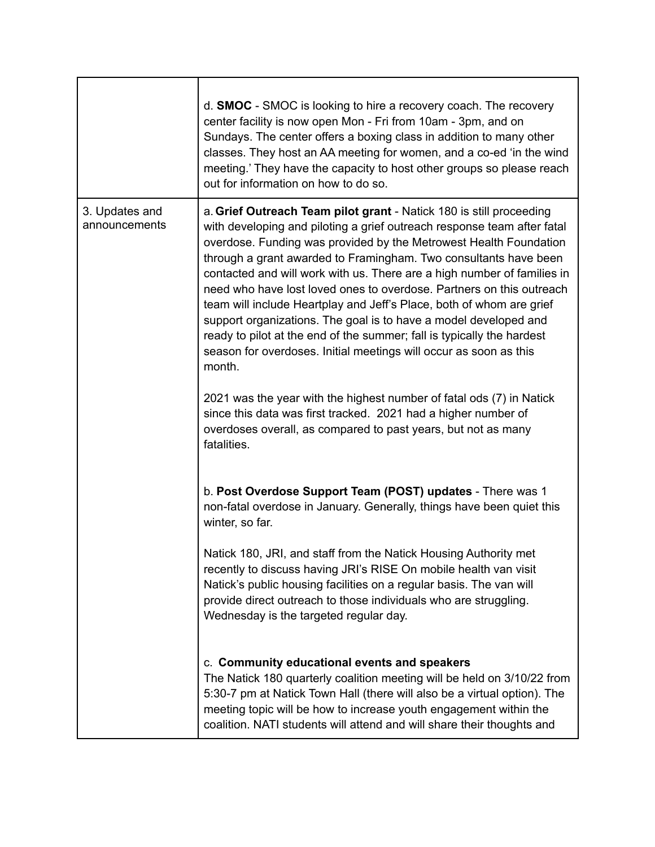|                                 | d. SMOC - SMOC is looking to hire a recovery coach. The recovery<br>center facility is now open Mon - Fri from 10am - 3pm, and on<br>Sundays. The center offers a boxing class in addition to many other<br>classes. They host an AA meeting for women, and a co-ed 'in the wind<br>meeting.' They have the capacity to host other groups so please reach<br>out for information on how to do so.                                                                                                                                                                                                                                                                                                                                               |
|---------------------------------|-------------------------------------------------------------------------------------------------------------------------------------------------------------------------------------------------------------------------------------------------------------------------------------------------------------------------------------------------------------------------------------------------------------------------------------------------------------------------------------------------------------------------------------------------------------------------------------------------------------------------------------------------------------------------------------------------------------------------------------------------|
| 3. Updates and<br>announcements | a. Grief Outreach Team pilot grant - Natick 180 is still proceeding<br>with developing and piloting a grief outreach response team after fatal<br>overdose. Funding was provided by the Metrowest Health Foundation<br>through a grant awarded to Framingham. Two consultants have been<br>contacted and will work with us. There are a high number of families in<br>need who have lost loved ones to overdose. Partners on this outreach<br>team will include Heartplay and Jeff's Place, both of whom are grief<br>support organizations. The goal is to have a model developed and<br>ready to pilot at the end of the summer; fall is typically the hardest<br>season for overdoses. Initial meetings will occur as soon as this<br>month. |
|                                 | 2021 was the year with the highest number of fatal ods (7) in Natick<br>since this data was first tracked. 2021 had a higher number of<br>overdoses overall, as compared to past years, but not as many<br>fatalities.                                                                                                                                                                                                                                                                                                                                                                                                                                                                                                                          |
|                                 | b. Post Overdose Support Team (POST) updates - There was 1<br>non-fatal overdose in January. Generally, things have been quiet this<br>winter, so far.                                                                                                                                                                                                                                                                                                                                                                                                                                                                                                                                                                                          |
|                                 | Natick 180, JRI, and staff from the Natick Housing Authority met<br>recently to discuss having JRI's RISE On mobile health van visit<br>Natick's public housing facilities on a regular basis. The van will<br>provide direct outreach to those individuals who are struggling.<br>Wednesday is the targeted regular day.                                                                                                                                                                                                                                                                                                                                                                                                                       |
|                                 | c. Community educational events and speakers<br>The Natick 180 quarterly coalition meeting will be held on 3/10/22 from<br>5:30-7 pm at Natick Town Hall (there will also be a virtual option). The<br>meeting topic will be how to increase youth engagement within the<br>coalition. NATI students will attend and will share their thoughts and                                                                                                                                                                                                                                                                                                                                                                                              |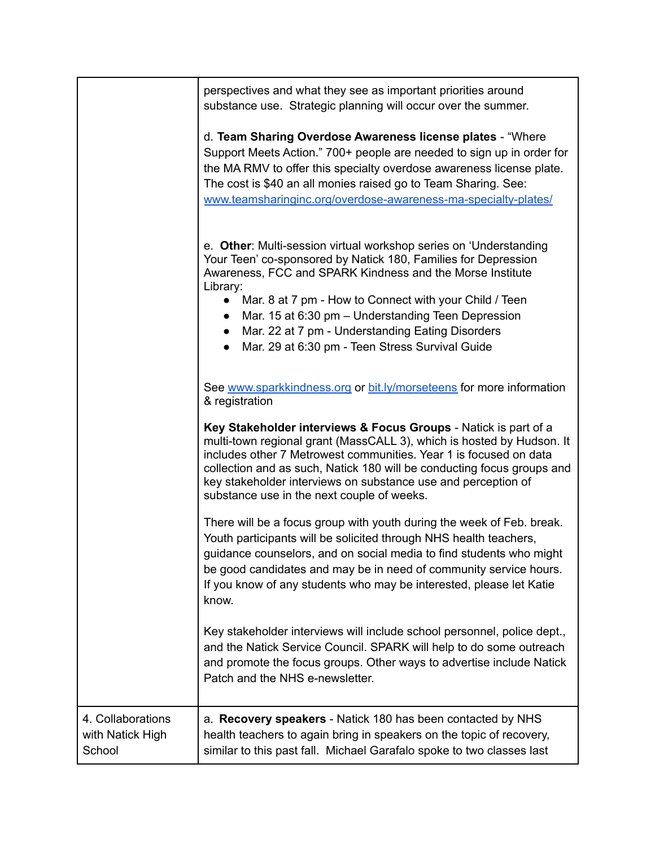|                                                 | perspectives and what they see as important priorities around<br>substance use. Strategic planning will occur over the summer.                                                                                                                                                                                                                                                                                                                                                          |
|-------------------------------------------------|-----------------------------------------------------------------------------------------------------------------------------------------------------------------------------------------------------------------------------------------------------------------------------------------------------------------------------------------------------------------------------------------------------------------------------------------------------------------------------------------|
|                                                 | d. Team Sharing Overdose Awareness license plates - "Where<br>Support Meets Action." 700+ people are needed to sign up in order for<br>the MA RMV to offer this specialty overdose awareness license plate.<br>The cost is \$40 an all monies raised go to Team Sharing. See:<br>www.teamsharinginc.org/overdose-awareness-ma-specialty-plates/                                                                                                                                         |
|                                                 | e. Other: Multi-session virtual workshop series on 'Understanding<br>Your Teen' co-sponsored by Natick 180, Families for Depression<br>Awareness, FCC and SPARK Kindness and the Morse Institute<br>Library:<br>Mar. 8 at 7 pm - How to Connect with your Child / Teen<br>$\bullet$<br>Mar. 15 at 6:30 pm - Understanding Teen Depression<br>$\bullet$<br>Mar. 22 at 7 pm - Understanding Eating Disorders<br>$\bullet$<br>Mar. 29 at 6:30 pm - Teen Stress Survival Guide<br>$\bullet$ |
|                                                 | See www.sparkkindness.org or bit.ly/morseteens for more information<br>& registration                                                                                                                                                                                                                                                                                                                                                                                                   |
|                                                 | Key Stakeholder interviews & Focus Groups - Natick is part of a<br>multi-town regional grant (MassCALL 3), which is hosted by Hudson. It<br>includes other 7 Metrowest communities. Year 1 is focused on data<br>collection and as such, Natick 180 will be conducting focus groups and<br>key stakeholder interviews on substance use and perception of<br>substance use in the next couple of weeks.                                                                                  |
|                                                 | There will be a focus group with youth during the week of Feb. break.<br>Youth participants will be solicited through NHS health teachers,<br>guidance counselors, and on social media to find students who might<br>be good candidates and may be in need of community service hours.<br>If you know of any students who may be interested, please let Katie<br>know.                                                                                                                  |
|                                                 | Key stakeholder interviews will include school personnel, police dept.,<br>and the Natick Service Council. SPARK will help to do some outreach<br>and promote the focus groups. Other ways to advertise include Natick<br>Patch and the NHS e-newsletter.                                                                                                                                                                                                                               |
| 4. Collaborations<br>with Natick High<br>School | a. Recovery speakers - Natick 180 has been contacted by NHS<br>health teachers to again bring in speakers on the topic of recovery,<br>similar to this past fall. Michael Garafalo spoke to two classes last                                                                                                                                                                                                                                                                            |